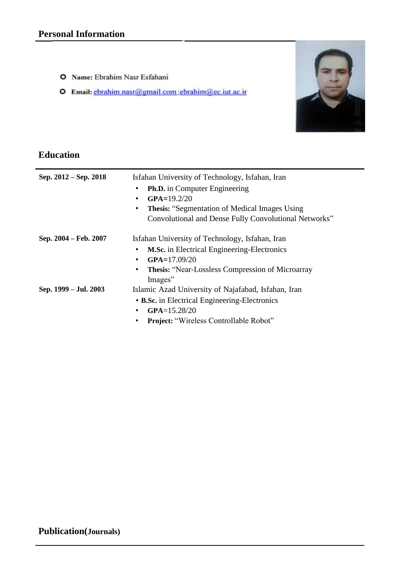- O Name: Ebrahim Nasr Esfahani
- O Email: ebrahim.nasr@gmail.com ; ebrahim@ec.jut.ac.ir



# **Education**

| Sep. 2012 – Sep. 2018 | Isfahan University of Technology, Isfahan, Iran<br><b>Ph.D.</b> in Computer Engineering<br>$GPA=19.2/20$<br>٠<br><b>Thesis: "Segmentation of Medical Images Using</b><br>Convolutional and Dense Fully Convolutional Networks" |
|-----------------------|--------------------------------------------------------------------------------------------------------------------------------------------------------------------------------------------------------------------------------|
| Sep. 2004 – Feb. 2007 | Isfahan University of Technology, Isfahan, Iran<br><b>M.Sc.</b> in Electrical Engineering-Electronics<br>$GPA=17.09/20$<br>٠<br><b>Thesis: "Near-Lossless Compression of Microarray</b><br>Images"                             |
| Sep. 1999 – Jul. 2003 | Islamic Azad University of Najafabad, Isfahan, Iran<br>• B.Sc. in Electrical Engineering-Electronics<br>$GPA = 15.28/20$<br><b>Project: "Wireless Controllable Robot"</b>                                                      |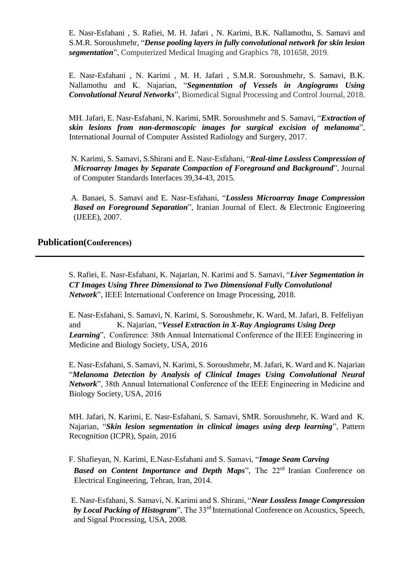E. Nasr-Esfahani , S. Rafiei, M. H. Jafari , N. Karimi, B.K. Nallamothu, S. Samavi and S.M.R. Soroushmehr, "*Dense pooling layers in fully convolutional network for skin lesion segmentation*", Computerized Medical Imaging and Graphics 78, 101658, 2019.

E. Nasr-Esfahani , N. Karimi , M. H. Jafari , S.M.R. Soroushmehr, S. Samavi, B.K. Nallamothu and K. Najarian, "*Segmentation of Vessels in Angiograms Using Convolutional Neural Networks*", Biomedical Signal Processing and Control Journal, 2018.

MH. Jafari, E. Nasr-Esfahani, N. Karimi, SMR. Soroushmehr and S. Samavi, "*[Extraction of](javascript:void(0))  [skin lesions from non-dermoscopic images for surgical excision of melanoma](javascript:void(0))*", International Journal of Computer Assisted Radiology and Surgery, 2017.

N. Karimi, S. Samavi, S.Shirani and E. Nasr-Esfahani, "*Real-time Lossless Compression of Microarray Images by Separate Compaction of Foreground and Background*", Journal of Computer Standards Interfaces 39,34-43, 2015.

A. Banaei, S. Samavi and E. Nasr-Esfahani, "*Lossless Microarray Image Compression Based on Foreground Separation*", Iranian Journal of Elect. & Electronic Engineering (IJEEE), 2007.

#### **Publication(Conferences)**

S. Rafiei, E. Nasr-Esfahani, K. Najarian, N. Karimi and S. Samavi, "*Liver Segmentation in CT Images Using Three Dimensional to Two Dimensional Fully Convolutional Network*", IEEE International Conference on Image Processing, 2018.

E. Nasr-Esfahani, S. Samavi, N. Karimi, S. Soroushmehr, K. Ward, M. Jafari, B. Felfeliyan and K. Najarian, "*Vessel Extraction in X-Ray Angiograms Using Deep Learning*", Conference: 38th Annual International Conference of the IEEE Engineering in Medicine and Biology Society, USA, 2016

E. Nasr-Esfahani, S. Samavi, N. Karimi, S. Soroushmehr, M. Jafari, K. Ward and K. Najarian "*Melanoma Detection by Analysis of Clinical Images Using Convolutional Neural Network*", 38th Annual International Conference of the IEEE Engineering in Medicine and Biology Society, USA, 2016

MH. Jafari, N. Karimi, E. Nasr-Esfahani, S. Samavi, SMR. Soroushmehr, K. Ward and K. Najarian, "*Skin [lesion segmentation in clinical images using deep learning](http://ieeexplore.ieee.org/abstract/document/7899656/)*", Pattern Recognition (ICPR), Spain, 2016

F. Shafieyan, N. Karimi, E.Nasr-Esfahani and S. Samavi, "*Image Seam Carving Based on Content Importance and Depth Maps*", The 22<sup>rd</sup> Iranian Conference on Electrical Engineering, Tehran, Iran, 2014.

E. Nasr-Esfahani, S. Samavi, N. Karimi and S. Shirani, "*Near Lossless Image Compression by Local Packing of Histogram*", The 33rd International Conference on Acoustics, Speech, and Signal Processing, USA, 2008.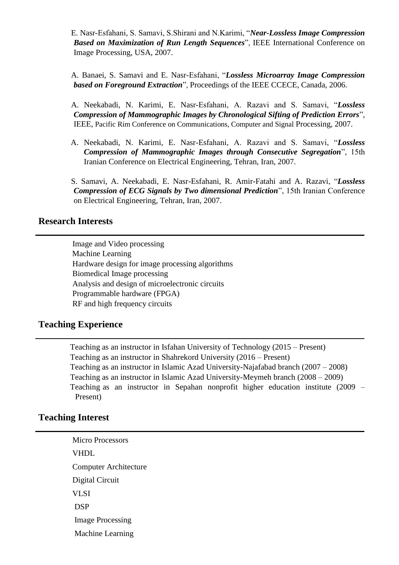E. Nasr-Esfahani, S. Samavi, S.Shirani and N.Karimi, "*Near-Lossless Image Compression Based on Maximization of Run Length Sequences*", IEEE International Conference on Image Processing, USA, 2007.

A. Banaei, S. Samavi and E. Nasr-Esfahani, "*Lossless Microarray Image Compression based on Foreground Extraction*", Proceedings of the IEEE CCECE, Canada, 2006.

- A. Neekabadi, N. Karimi, E. Nasr-Esfahani, A. Razavi and S. Samavi, "*Lossless Compression of Mammographic Images by Chronological Sifting of Prediction Errors*", IEEE, Pacific Rim Conference on Communications, Computer and Signal Processing, 2007.
- A. Neekabadi, N. Karimi, E. Nasr-Esfahani, A. Razavi and S. Samavi, "*Lossless Compression of Mammographic Images through Consecutive Segregation*", 15th Iranian Conference on Electrical Engineering, Tehran, Iran, 2007.

S. Samavi, A. Neekabadi, E. Nasr-Esfahani, R. Amir-Fatahi and A. Razavi, "*Lossless Compression of ECG Signals by Two dimensional Prediction*", 15th Iranian Conference on Electrical Engineering, Tehran, Iran, 2007.

### **Research Interests**

Image and Video processing Machine Learning Hardware design for image processing algorithms Biomedical Image processing Analysis and design of microelectronic circuits Programmable hardware (FPGA) RF and high frequency circuits

### **Teaching Experience**

Teaching as an instructor in Isfahan University of Technology (2015 – Present) Teaching as an instructor in Shahrekord University (2016 – Present) Teaching as an instructor in Islamic Azad University-Najafabad branch (2007 – 2008) Teaching as an instructor in Islamic Azad University-Meymeh branch (2008 – 2009) Teaching as an instructor in Sepahan nonprofit higher education institute (2009 – Present)

### **Teaching Interest**

 Micro Processors VHDL Computer Architecture Digital Circuit VLSI DSP Image Processing Machine Learning